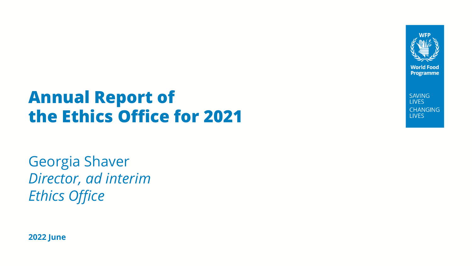

**SAVING LIVES CHANGING LIVES** 

## **Annual Report of the Ethics Office for 2021**

Georgia Shaver *Director, ad interim Ethics Office*

**2022 June**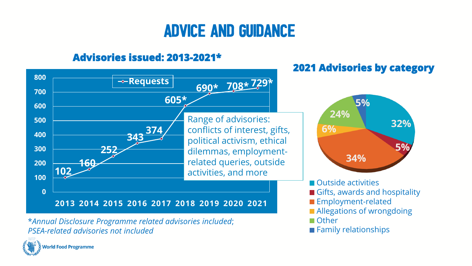## Advice and Guidance

### **Advisories issued: 2013-2021\***



\**Annual Disclosure Programme related advisories included*; *PSEA-related advisories not included*



**Outside activities** Gifts, awards and hospitality **Employment-related Allegations of wrongdoing** ■ Other **Family relationships** 

**32%**

**5%**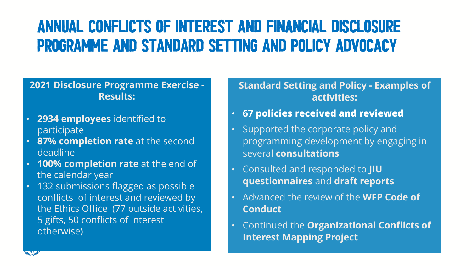### ANNUAL CONFLICTS OF INTEREST AND FINANCIAL DISCLOSURE PROGRAMME and STANDARD SETTING AND POLICY ADVOCACY

#### **2021 Disclosure Programme Exercise - Results:**

- **2934 employees** identified to participate
- **87% completion rate** at the second deadline
- **100% completion rate** at the end of the calendar year
- 132 submissions flagged as possible conflicts of interest and reviewed by the Ethics Office (77 outside activities, 5 gifts, 50 conflicts of interest otherwise)

#### **Standard Setting and Policy - Examples of activities:**

- **67 policies received and reviewed**
- Supported the corporate policy and programming development by engaging in several **consultations**
- Consulted and responded to **JIU questionnaires** and **draft reports**
- Advanced the review of the **WFP Code of Conduct**
- Continued the **Organizational Conflicts of Interest Mapping Project**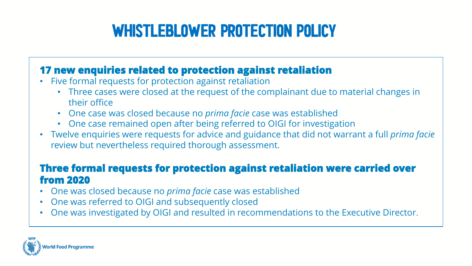## WHISTLEBLOWER PROTECTION POLICY

#### **17 new enquiries related to protection against retaliation**

- Five formal requests for protection against retaliation
	- Three cases were closed at the request of the complainant due to material changes in their office
	- One case was closed because no *prima facie* case was established
	- One case remained open after being referred to OIGI for investigation
- Twelve enquiries were requests for advice and guidance that did not warrant a full *prima facie*  review but nevertheless required thorough assessment.

#### **Three formal requests for protection against retaliation were carried over from 2020**

- One was closed because no *prima facie* case was established
- One was referred to OIGI and subsequently closed
- One was investigated by OIGI and resulted in recommendations to the Executive Director.

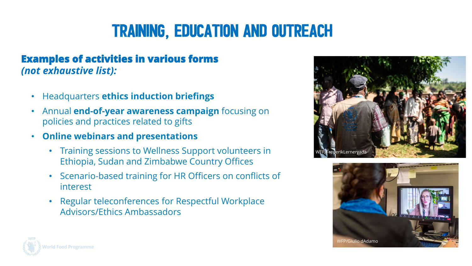## TRAINING, EDUCATION AND OUTREACH

#### **Examples of activities in various forms**  *(not exhaustive list):*

- Headquarters **ethics induction briefings**
- Annual **end-of-year awareness campaign** focusing on policies and practices related to gifts
- **Online webinars and presentations**
	- Training sessions to Wellness Support volunteers in Ethiopia, Sudan and Zimbabwe Country Offices
	- Scenario-based training for HR Officers on conflicts of interest
	- Regular teleconferences for Respectful Workplace Advisors/Ethics Ambassadors





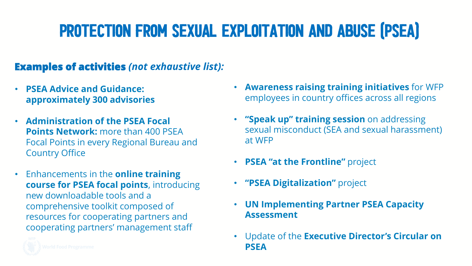# PROTECTION FROM SEXUAL EXPLOITATION AND ABUSE (PSEA)

#### **Examples of activities** *(not exhaustive list):*

- **PSEA Advice and Guidance: approximately 300 advisories**
- **Administration of the PSEA Focal Points Network: more than 400 PSEA** Focal Points in every Regional Bureau and Country Office
- Enhancements in the **online training course for PSEA focal points**, introducing new downloadable tools and a comprehensive toolkit composed of resources for cooperating partners and cooperating partners' management staff



- **"Speak up" training session** on addressing sexual misconduct (SEA and sexual harassment) at WFP
- **PSEA "at the Frontline"** project
- **"PSEA Digitalization"** project
- **UN Implementing Partner PSEA Capacity Assessment**
- Update of the **Executive Director's Circular on PSEA**